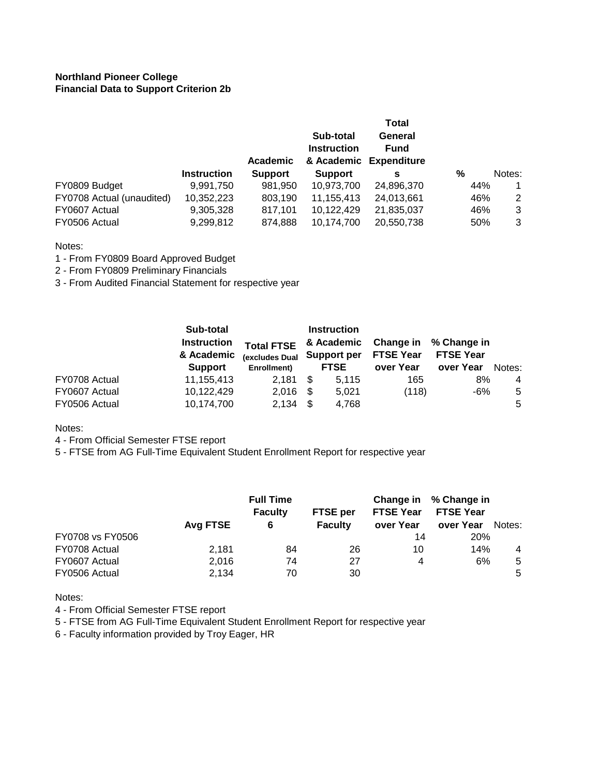## **Northland Pioneer College Financial Data to Support Criterion 2b**

|                           |                    | Academic       | Sub-total<br><b>Instruction</b> | Total<br>General<br><b>Fund</b><br>& Academic Expenditure |     |        |
|---------------------------|--------------------|----------------|---------------------------------|-----------------------------------------------------------|-----|--------|
|                           | <b>Instruction</b> | <b>Support</b> | <b>Support</b>                  | s                                                         | %   | Notes: |
| FY0809 Budget             | 9,991,750          | 981,950        | 10,973,700                      | 24,896,370                                                | 44% |        |
| FY0708 Actual (unaudited) | 10,352,223         | 803,190        | 11,155,413                      | 24,013,661                                                | 46% | 2      |
| FY0607 Actual             | 9,305,328          | 817,101        | 10,122,429                      | 21,835,037                                                | 46% | 3      |
| FY0506 Actual             | 9,299,812          | 874.888        | 10,174,700                      | 20,550,738                                                | 50% | 3      |

Notes:

- 1 From FY0809 Board Approved Budget
- 2 From FY0809 Preliminary Financials
- 3 From Audited Financial Statement for respective year

|               | Sub-total<br><b>Instruction</b><br>& Academic<br><b>Support</b> | <b>Total FTSE</b><br>(excludes Dual |      | <b>Instruction</b><br>& Academic<br>Support per<br><b>FTSE</b> | Change in<br><b>FTSE Year</b><br>over Year | % Change in<br><b>FTSE Year</b><br>over Year |                |  |
|---------------|-----------------------------------------------------------------|-------------------------------------|------|----------------------------------------------------------------|--------------------------------------------|----------------------------------------------|----------------|--|
|               |                                                                 | Enrollment)                         |      |                                                                |                                            |                                              | Notes:         |  |
| FY0708 Actual | 11,155,413                                                      | 2.181                               | - \$ | 5.115                                                          | 165                                        | 8%                                           | $\overline{4}$ |  |
| FY0607 Actual | 10,122,429                                                      | 2.016                               | - \$ | 5.021                                                          | (118)                                      | -6%                                          | 5              |  |
| FY0506 Actual | 10,174,700                                                      | 2,134                               | - \$ | 4,768                                                          |                                            |                                              | 5              |  |

Notes:

4 - From Official Semester FTSE report

5 - FTSE from AG Full-Time Equivalent Student Enrollment Report for respective year

|                  | Avg FTSE | <b>Full Time</b><br><b>Faculty</b><br>6 | <b>FTSE</b> per<br><b>Faculty</b> | Change in<br><b>FTSE Year</b><br>over Year | % Change in<br><b>FTSE Year</b><br>over Year | Notes: |
|------------------|----------|-----------------------------------------|-----------------------------------|--------------------------------------------|----------------------------------------------|--------|
| FY0708 vs FY0506 |          |                                         |                                   | 14                                         | <b>20%</b>                                   |        |
| FY0708 Actual    | 2.181    | 84                                      | 26                                | 10                                         | 14%                                          | 4      |
| FY0607 Actual    | 2,016    | 74                                      | 27                                | 4                                          | 6%                                           | 5      |
| FY0506 Actual    | 2,134    | 70                                      | 30                                |                                            |                                              | 5      |

Notes:

- 4 From Official Semester FTSE report
- 5 FTSE from AG Full-Time Equivalent Student Enrollment Report for respective year

6 - Faculty information provided by Troy Eager, HR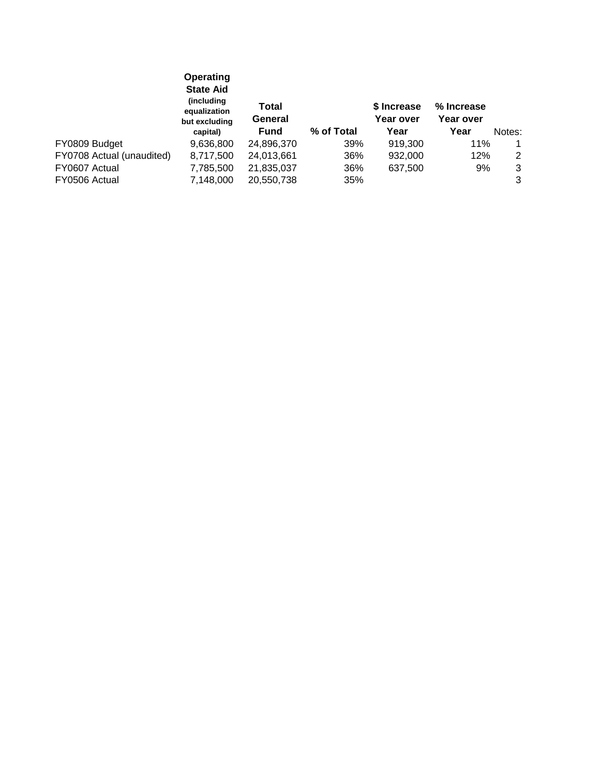|                           | Operating<br><b>State Aid</b><br>(including<br>equalization<br>but excluding | Total<br>General |            | \$ Increase<br>Year over | % Increase<br>Year over |        |
|---------------------------|------------------------------------------------------------------------------|------------------|------------|--------------------------|-------------------------|--------|
|                           | capital)                                                                     | <b>Fund</b>      | % of Total | Year                     | Year                    | Notes: |
| FY0809 Budget             | 9,636,800                                                                    | 24,896,370       | 39%        | 919,300                  | 11%                     | 1      |
| FY0708 Actual (unaudited) | 8,717,500                                                                    | 24,013,661       | 36%        | 932,000                  | 12%                     | 2      |
| FY0607 Actual             | 7,785,500                                                                    | 21,835,037       | 36%        | 637,500                  | 9%                      | 3      |
| FY0506 Actual             | 7,148,000                                                                    | 20,550,738       | 35%        |                          |                         | 3      |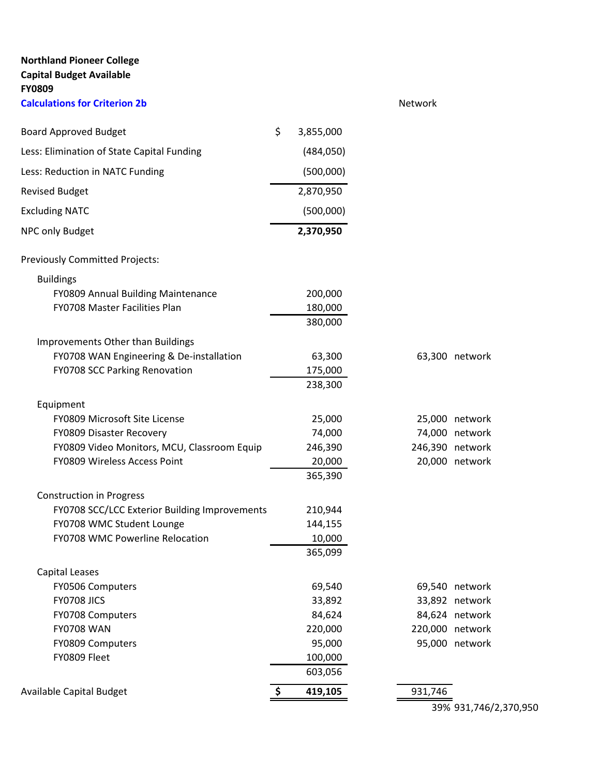| <b>Northland Pioneer College</b><br><b>Capital Budget Available</b><br><b>FY0809</b> |                 |         |                 |
|--------------------------------------------------------------------------------------|-----------------|---------|-----------------|
| <b>Calculations for Criterion 2b</b>                                                 |                 | Network |                 |
| <b>Board Approved Budget</b>                                                         | \$<br>3,855,000 |         |                 |
| Less: Elimination of State Capital Funding                                           | (484, 050)      |         |                 |
| Less: Reduction in NATC Funding                                                      | (500,000)       |         |                 |
| <b>Revised Budget</b>                                                                | 2,870,950       |         |                 |
| <b>Excluding NATC</b>                                                                | (500,000)       |         |                 |
| NPC only Budget                                                                      | 2,370,950       |         |                 |
| Previously Committed Projects:                                                       |                 |         |                 |
| <b>Buildings</b>                                                                     |                 |         |                 |
| FY0809 Annual Building Maintenance                                                   | 200,000         |         |                 |
| FY0708 Master Facilities Plan                                                        | 180,000         |         |                 |
|                                                                                      | 380,000         |         |                 |
| Improvements Other than Buildings                                                    |                 |         |                 |
| FY0708 WAN Engineering & De-installation                                             | 63,300          |         | 63,300 network  |
| FY0708 SCC Parking Renovation                                                        | 175,000         |         |                 |
|                                                                                      | 238,300         |         |                 |
| Equipment                                                                            |                 |         |                 |
| FY0809 Microsoft Site License                                                        | 25,000          |         | 25,000 network  |
| FY0809 Disaster Recovery                                                             | 74,000          |         | 74,000 network  |
| FY0809 Video Monitors, MCU, Classroom Equip                                          | 246,390         |         | 246,390 network |
| FY0809 Wireless Access Point                                                         | 20,000          |         | 20,000 network  |
|                                                                                      | 365,390         |         |                 |
| <b>Construction in Progress</b>                                                      |                 |         |                 |
| FY0708 SCC/LCC Exterior Building Improvements                                        | 210,944         |         |                 |
| FY0708 WMC Student Lounge                                                            | 144,155         |         |                 |
| FY0708 WMC Powerline Relocation                                                      | 10,000          |         |                 |
|                                                                                      | 365,099         |         |                 |
| <b>Capital Leases</b>                                                                |                 |         |                 |
| FY0506 Computers                                                                     | 69,540          |         | 69,540 network  |
| <b>FY0708 JICS</b>                                                                   | 33,892          |         | 33,892 network  |
| FY0708 Computers                                                                     | 84,624          |         | 84,624 network  |
| <b>FY0708 WAN</b>                                                                    | 220,000         |         | 220,000 network |
| FY0809 Computers                                                                     | 95,000          |         | 95,000 network  |
| FY0809 Fleet                                                                         | 100,000         |         |                 |
|                                                                                      | 603,056         |         |                 |
| Available Capital Budget                                                             | 419,105         | 931,746 |                 |

39% 931,746/2,370,950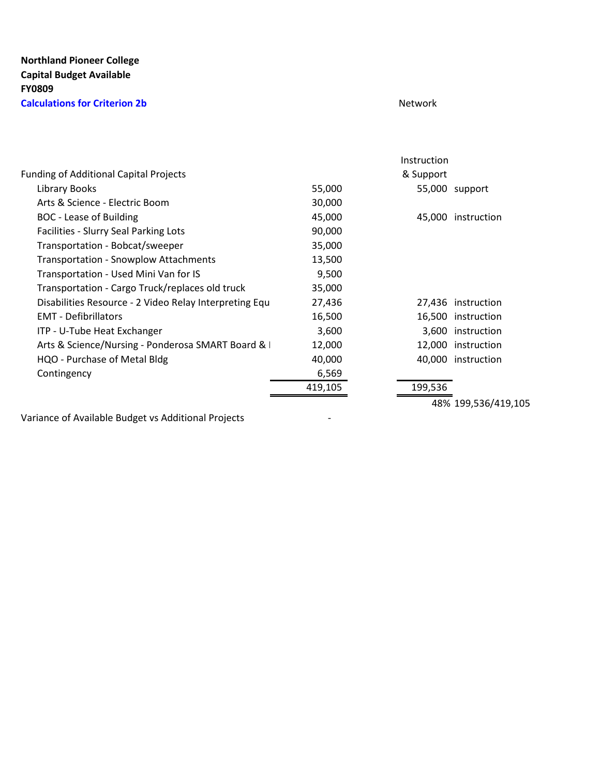## **Northland Pioneer College Capital Budget Available FY0809 Calculations for Criterion 2b** Network

|                                                        |         | Instruction |                    |
|--------------------------------------------------------|---------|-------------|--------------------|
| <b>Funding of Additional Capital Projects</b>          |         | & Support   |                    |
| Library Books                                          | 55,000  |             | 55,000 support     |
| Arts & Science - Electric Boom                         | 30,000  |             |                    |
| <b>BOC</b> - Lease of Building                         | 45,000  | 45,000      | instruction        |
| Facilities - Slurry Seal Parking Lots                  | 90,000  |             |                    |
| Transportation - Bobcat/sweeper                        | 35,000  |             |                    |
| <b>Transportation - Snowplow Attachments</b>           | 13,500  |             |                    |
| Transportation - Used Mini Van for IS                  | 9,500   |             |                    |
| Transportation - Cargo Truck/replaces old truck        | 35,000  |             |                    |
| Disabilities Resource - 2 Video Relay Interpreting Equ | 27,436  |             | 27,436 instruction |
| <b>EMT</b> - Defibrillators                            | 16,500  |             | 16,500 instruction |
| ITP - U-Tube Heat Exchanger                            | 3,600   | 3,600       | instruction        |
| Arts & Science/Nursing - Ponderosa SMART Board & I     | 12,000  | 12,000      | instruction        |
| HQO - Purchase of Metal Bldg                           | 40,000  |             | 40,000 instruction |
| Contingency                                            | 6,569   |             |                    |
|                                                        | 419,105 | 199,536     |                    |
|                                                        |         |             |                    |

Variance of Available Budget vs Additional Projects -

48% 199,536/419,105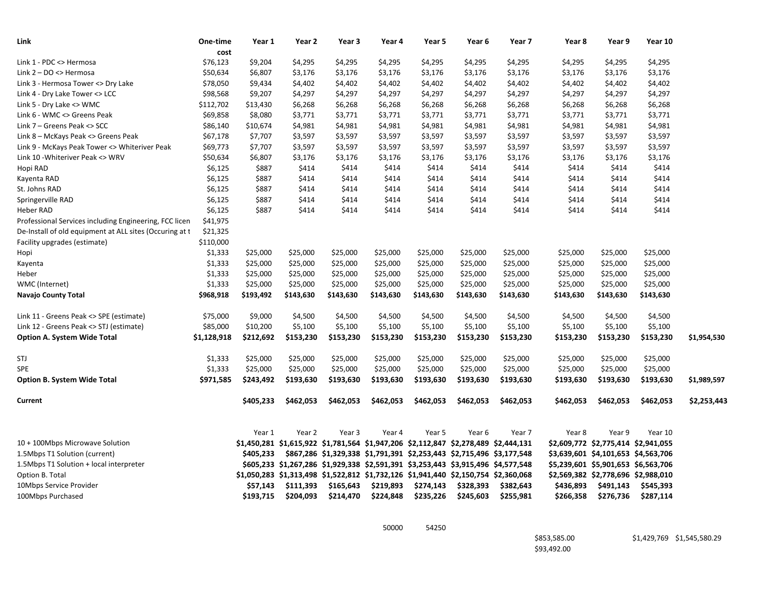| Link                                                                                                              | One-time             | Year 1    | Year 2             | Year 3    | Year 4                                                                              | Year 5    | Year 6             | Year 7    | Year 8    | Year 9                              | Year 10   |             |
|-------------------------------------------------------------------------------------------------------------------|----------------------|-----------|--------------------|-----------|-------------------------------------------------------------------------------------|-----------|--------------------|-----------|-----------|-------------------------------------|-----------|-------------|
| Link 1 - PDC <> Hermosa                                                                                           | cost<br>\$76,123     | \$9,204   |                    | \$4,295   |                                                                                     | \$4,295   |                    | \$4,295   | \$4,295   | \$4,295                             | \$4,295   |             |
| Link 2 - DO <> Hermosa                                                                                            | \$50,634             | \$6,807   | \$4,295<br>\$3,176 | \$3,176   | \$4,295<br>\$3,176                                                                  | \$3,176   | \$4,295<br>\$3,176 | \$3,176   | \$3,176   | \$3,176                             | \$3,176   |             |
| Link 3 - Hermosa Tower <> Dry Lake                                                                                | \$78,050             | \$9,434   | \$4,402            | \$4,402   | \$4,402                                                                             | \$4,402   | \$4,402            | \$4,402   | \$4,402   | \$4,402                             | \$4,402   |             |
| Link 4 - Dry Lake Tower <> LCC                                                                                    | \$98,568             | \$9,207   | \$4,297            | \$4,297   | \$4,297                                                                             | \$4,297   | \$4,297            | \$4,297   | \$4,297   | \$4,297                             | \$4,297   |             |
| Link 5 - Dry Lake <> WMC                                                                                          | \$112,702            | \$13,430  | \$6,268            | \$6,268   | \$6,268                                                                             | \$6,268   | \$6,268            | \$6,268   | \$6,268   | \$6,268                             | \$6,268   |             |
| Link 6 - WMC <> Greens Peak                                                                                       | \$69,858             | \$8,080   | \$3,771            | \$3,771   | \$3,771                                                                             | \$3,771   | \$3,771            | \$3,771   | \$3,771   | \$3,771                             | \$3,771   |             |
| Link 7 - Greens Peak <> SCC                                                                                       | \$86,140             | \$10,674  | \$4,981            | \$4,981   | \$4,981                                                                             | \$4,981   | \$4,981            | \$4,981   | \$4,981   | \$4,981                             | \$4,981   |             |
| Link 8 - McKays Peak <> Greens Peak                                                                               | \$67,178             | \$7,707   | \$3,597            | \$3,597   | \$3,597                                                                             | \$3,597   | \$3,597            | \$3,597   | \$3,597   | \$3,597                             | \$3,597   |             |
| Link 9 - McKays Peak Tower <> Whiteriver Peak                                                                     | \$69,773             | \$7,707   | \$3,597            | \$3,597   | \$3,597                                                                             | \$3,597   | \$3,597            | \$3,597   | \$3,597   | \$3,597                             | \$3,597   |             |
| Link 10 - Whiteriver Peak <> WRV                                                                                  | \$50,634             | \$6,807   | \$3,176            | \$3,176   | \$3,176                                                                             | \$3,176   | \$3,176            | \$3,176   | \$3,176   | \$3,176                             | \$3,176   |             |
| Hopi RAD                                                                                                          | \$6,125              | \$887     | \$414              | \$414     | \$414                                                                               | \$414     | \$414              | \$414     | \$414     | \$414                               | \$414     |             |
| Kayenta RAD                                                                                                       | \$6,125              | \$887     | \$414              | \$414     | \$414                                                                               | \$414     | \$414              | \$414     | \$414     | \$414                               | \$414     |             |
| St. Johns RAD                                                                                                     | \$6,125              | \$887     | \$414              | \$414     | \$414                                                                               | \$414     | \$414              | \$414     | \$414     | \$414                               | \$414     |             |
|                                                                                                                   | \$6,125              | \$887     | \$414              | \$414     | \$414                                                                               | \$414     | \$414              | \$414     | \$414     | \$414                               | \$414     |             |
| Springerville RAD<br>Heber RAD                                                                                    | \$6,125              | \$887     | \$414              | \$414     | \$414                                                                               | \$414     | \$414              | \$414     | \$414     | \$414                               | \$414     |             |
|                                                                                                                   |                      |           |                    |           |                                                                                     |           |                    |           |           |                                     |           |             |
| Professional Services including Engineering, FCC licen<br>De-Install of old equipment at ALL sites (Occuring at t | \$41,975<br>\$21,325 |           |                    |           |                                                                                     |           |                    |           |           |                                     |           |             |
| Facility upgrades (estimate)                                                                                      | \$110,000            |           |                    |           |                                                                                     |           |                    |           |           |                                     |           |             |
| Hopi                                                                                                              | \$1,333              | \$25,000  | \$25,000           | \$25,000  | \$25,000                                                                            | \$25,000  | \$25,000           | \$25,000  | \$25,000  | \$25,000                            | \$25,000  |             |
| Kayenta                                                                                                           | \$1,333              | \$25,000  | \$25,000           | \$25,000  | \$25,000                                                                            | \$25,000  | \$25,000           | \$25,000  | \$25,000  | \$25,000                            | \$25,000  |             |
| Heber                                                                                                             | \$1,333              | \$25,000  | \$25,000           | \$25,000  | \$25,000                                                                            | \$25,000  | \$25,000           | \$25,000  | \$25,000  | \$25,000                            | \$25,000  |             |
| WMC (Internet)                                                                                                    | \$1,333              | \$25,000  | \$25,000           | \$25,000  | \$25,000                                                                            | \$25,000  | \$25,000           | \$25,000  | \$25,000  | \$25,000                            | \$25,000  |             |
| Navajo County Total                                                                                               | \$968,918            | \$193,492 | \$143,630          | \$143,630 | \$143,630                                                                           | \$143,630 | \$143,630          | \$143,630 | \$143,630 | \$143,630                           | \$143,630 |             |
|                                                                                                                   |                      |           |                    |           |                                                                                     |           |                    |           |           |                                     |           |             |
| Link 11 - Greens Peak <> SPE (estimate)                                                                           | \$75,000             | \$9,000   | \$4,500            | \$4,500   | \$4,500                                                                             | \$4,500   | \$4,500            | \$4,500   | \$4,500   | \$4,500                             | \$4,500   |             |
| Link 12 - Greens Peak <> STJ (estimate)                                                                           | \$85,000             | \$10,200  | \$5,100            | \$5,100   | \$5,100                                                                             | \$5,100   | \$5,100            | \$5,100   | \$5,100   | \$5,100                             | \$5,100   |             |
| <b>Option A. System Wide Total</b>                                                                                | \$1,128,918          | \$212,692 | \$153,230          | \$153,230 | \$153,230                                                                           | \$153,230 | \$153,230          | \$153,230 | \$153,230 | \$153,230                           | \$153,230 | \$1,954,530 |
| STJ                                                                                                               | \$1,333              | \$25,000  | \$25,000           | \$25,000  | \$25,000                                                                            | \$25,000  | \$25,000           | \$25,000  | \$25,000  | \$25,000                            | \$25,000  |             |
| <b>SPE</b>                                                                                                        | \$1,333              | \$25,000  | \$25,000           | \$25,000  | \$25,000                                                                            | \$25,000  | \$25,000           | \$25,000  | \$25,000  | \$25,000                            | \$25,000  |             |
| <b>Option B. System Wide Total</b>                                                                                | \$971,585            | \$243,492 | \$193,630          | \$193,630 | \$193,630                                                                           | \$193,630 | \$193,630          | \$193,630 | \$193,630 | \$193,630                           | \$193,630 | \$1,989,597 |
| Current                                                                                                           |                      | \$405,233 | \$462,053          | \$462,053 | \$462,053                                                                           | \$462,053 | \$462,053          | \$462,053 | \$462,053 | \$462,053                           | \$462,053 | \$2,253,443 |
|                                                                                                                   |                      |           |                    |           |                                                                                     |           |                    |           |           |                                     |           |             |
|                                                                                                                   |                      | Year 1    | Year 2             | Year 3    | Year 4                                                                              | Year 5    | Year 6             | Year 7    | Year 8    | Year 9                              | Year 10   |             |
| 10 + 100Mbps Microwave Solution                                                                                   |                      |           |                    |           | \$1,450,281 \$1,615,922 \$1,781,564 \$1,947,206 \$2,112,847 \$2,278,489 \$2,444,131 |           |                    |           |           | \$2,609,772 \$2,775,414 \$2,941,055 |           |             |
| 1.5Mbps T1 Solution (current)                                                                                     |                      | \$405.233 |                    |           | \$867,286 \$1,329,338 \$1,791,391 \$2,253,443 \$2,715,496 \$3,177,548               |           |                    |           |           | \$3,639,601 \$4,101,653 \$4,563,706 |           |             |
| 1.5Mbps T1 Solution + local interpreter                                                                           |                      |           |                    |           | \$605,233 \$1,267,286 \$1,929,338 \$2,591,391 \$3,253,443 \$3,915,496 \$4,577,548   |           |                    |           |           | \$5,239,601 \$5,901,653 \$6,563,706 |           |             |
| Option B. Total                                                                                                   |                      |           |                    |           | \$1,050,283 \$1,313,498 \$1,522,812 \$1,732,126 \$1,941,440 \$2,150,754 \$2,360,068 |           |                    |           |           | \$2,569,382 \$2,778,696 \$2,988,010 |           |             |
| 10Mbps Service Provider                                                                                           |                      | \$57,143  | \$111,393          | \$165,643 | \$219,893                                                                           | \$274,143 | \$328,393          | \$382,643 | \$436,893 | \$491,143                           | \$545,393 |             |
| 100Mbps Purchased                                                                                                 |                      | \$193,715 | \$204,093          | \$214,470 | \$224,848                                                                           | \$235,226 | \$245,603          | \$255,981 | \$266,358 | \$276,736                           | \$287,114 |             |

50000 54250

\$93,492.00

\$853,585.00 \$1,429,769 \$1,545,580.29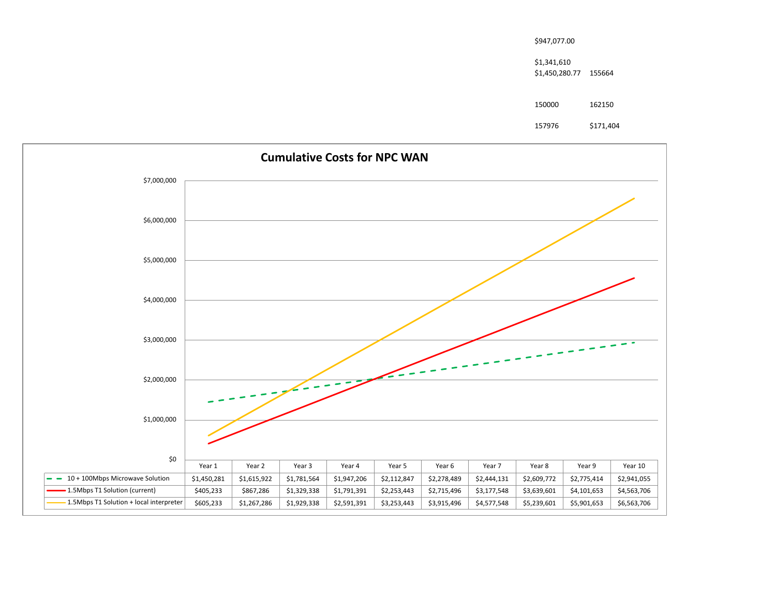| \$947,077.00                         |           |
|--------------------------------------|-----------|
| \$1,341,610<br>\$1,450,280.77 155664 |           |
| 150000                               | 162150    |
| 157976                               | \$171,404 |

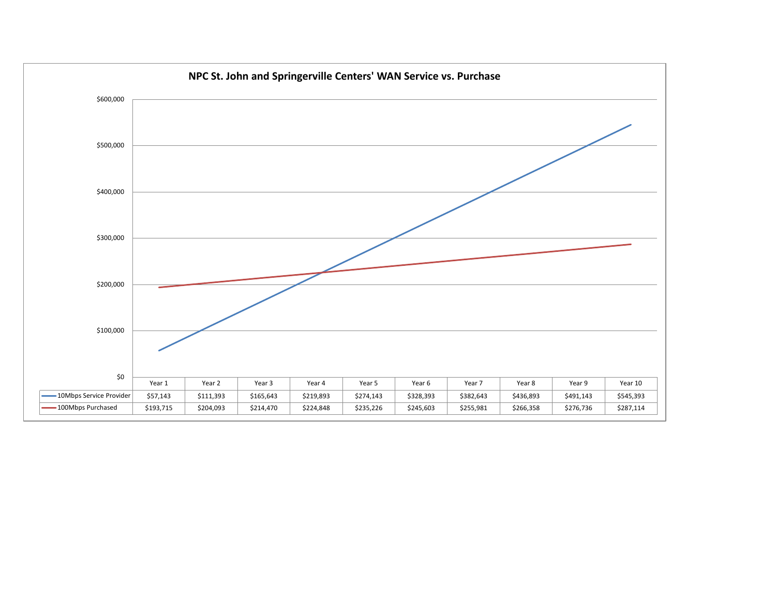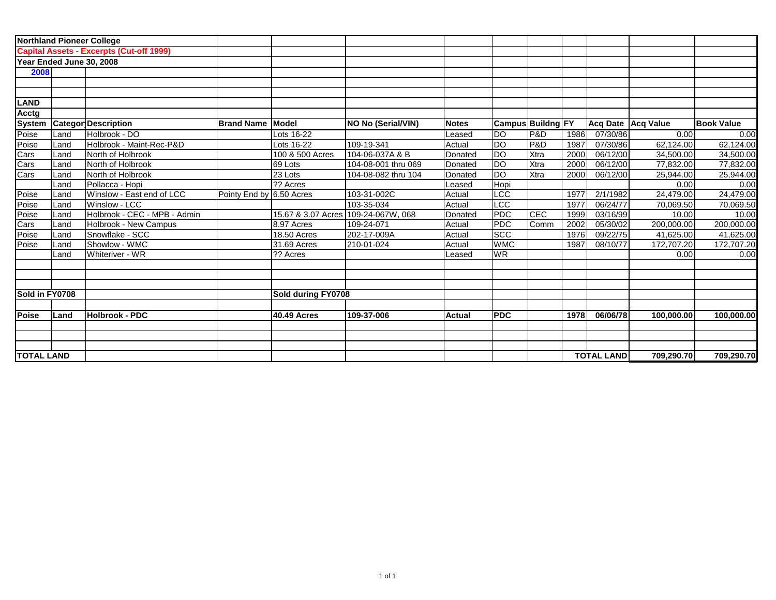|                   |      | <b>Northland Pioneer College</b>                |                          |                    |                           |               |            |                   |      |                   |                      |                   |
|-------------------|------|-------------------------------------------------|--------------------------|--------------------|---------------------------|---------------|------------|-------------------|------|-------------------|----------------------|-------------------|
|                   |      | <b>Capital Assets - Excerpts (Cut-off 1999)</b> |                          |                    |                           |               |            |                   |      |                   |                      |                   |
|                   |      | Year Ended June 30, 2008                        |                          |                    |                           |               |            |                   |      |                   |                      |                   |
| 2008              |      |                                                 |                          |                    |                           |               |            |                   |      |                   |                      |                   |
|                   |      |                                                 |                          |                    |                           |               |            |                   |      |                   |                      |                   |
|                   |      |                                                 |                          |                    |                           |               |            |                   |      |                   |                      |                   |
| LAND              |      |                                                 |                          |                    |                           |               |            |                   |      |                   |                      |                   |
| Acctg             |      |                                                 |                          |                    |                           |               |            |                   |      |                   |                      |                   |
| <b>System</b>     |      | <b>Categor Description</b>                      | <b>Brand Name Model</b>  |                    | <b>NO No (Serial/VIN)</b> | <b>Notes</b>  |            | Campus Buildng FY |      |                   | Acq Date   Acq Value | <b>Book Value</b> |
| Poise             | Land | Holbrook - DO                                   |                          | Lots 16-22         |                           | Leased        | <b>DO</b>  | P&D               | 1986 | 07/30/86          | 0.00                 | 0.00              |
| Poise             | Land | Holbrook - Maint-Rec-P&D                        |                          | Lots 16-22         | 109-19-341                | Actual        | <b>DO</b>  | P&D               | 1987 | 07/30/86          | 62,124.00            | 62,124.00         |
| Cars              | Land | North of Holbrook                               |                          | 100 & 500 Acres    | 104-06-037A & B           | Donated       | <b>DO</b>  | Xtra              | 2000 | 06/12/00          | 34,500.00            | 34,500.00         |
| Cars<br>Cars      | Land | North of Holbrook                               |                          | 69 Lots            | 104-08-001 thru 069       | Donated       | <b>DO</b>  | Xtra              | 2000 | 06/12/00          | 77,832.00            | 77,832.00         |
|                   | Land | North of Holbrook                               |                          | 23 Lots            | 104-08-082 thru 104       | Donated       | <b>DO</b>  | Xtra              | 2000 | 06/12/00          | 25,944.00            | 25,944.00         |
|                   | Land | Pollacca - Hopi                                 |                          | ?? Acres           |                           | Leased        | Hopi       |                   |      |                   | 0.00                 | 0.00              |
| Poise             | Land | Winslow - East end of LCC                       | Pointy End by 6.50 Acres |                    | 103-31-002C               | Actual        | LCC        |                   | 1977 | 2/1/1982          | 24,479.00            | 24,479.00         |
| Poise             | Land | Winslow - LCC                                   |                          |                    | 103-35-034                | Actual        | LCC        |                   | 1977 | 06/24/77          | 70,069.50            | 70,069.50         |
| Poise             | Land | Holbrook - CEC - MPB - Admin                    |                          | 15.67 & 3.07 Acres | 109-24-067W, 068          | Donated       | PDC        | CEC               | 1999 | 03/16/99          | 10.00                | 10.00             |
| Cars              | Land | Holbrook - New Campus                           |                          | 8.97 Acres         | 109-24-071                | Actual        | <b>PDC</b> | Comm              | 2002 | 05/30/02          | 200,000.00           | 200,000.00        |
| Poise             | Land | Snowflake - SCC                                 |                          | 18.50 Acres        | 202-17-009A               | Actual        | <b>SCC</b> |                   | 1976 | 09/22/75          | 41,625.00            | 41,625.00         |
| Poise             | Land | Showlow - WMC                                   |                          | 31.69 Acres        | 210-01-024                | Actual        | <b>WMC</b> |                   | 1987 | 08/10/77          | 172,707.20           | 172,707.20        |
|                   | Land | Whiteriver - WR                                 |                          | 1?? Acres          |                           | Leased        | <b>WR</b>  |                   |      |                   | 0.00                 | 0.00              |
|                   |      |                                                 |                          |                    |                           |               |            |                   |      |                   |                      |                   |
| Sold in FY0708    |      |                                                 |                          | Sold during FY0708 |                           |               |            |                   |      |                   |                      |                   |
| Poise             | Land | Holbrook - PDC                                  |                          | <b>40.49 Acres</b> | 109-37-006                | <b>Actual</b> | <b>PDC</b> |                   | 1978 | 06/06/78          | 100,000.00           | 100,000.00        |
|                   |      |                                                 |                          |                    |                           |               |            |                   |      |                   |                      |                   |
| <b>TOTAL LAND</b> |      |                                                 |                          |                    |                           |               |            |                   |      | <b>TOTAL LAND</b> | 709,290.70           | 709,290.70        |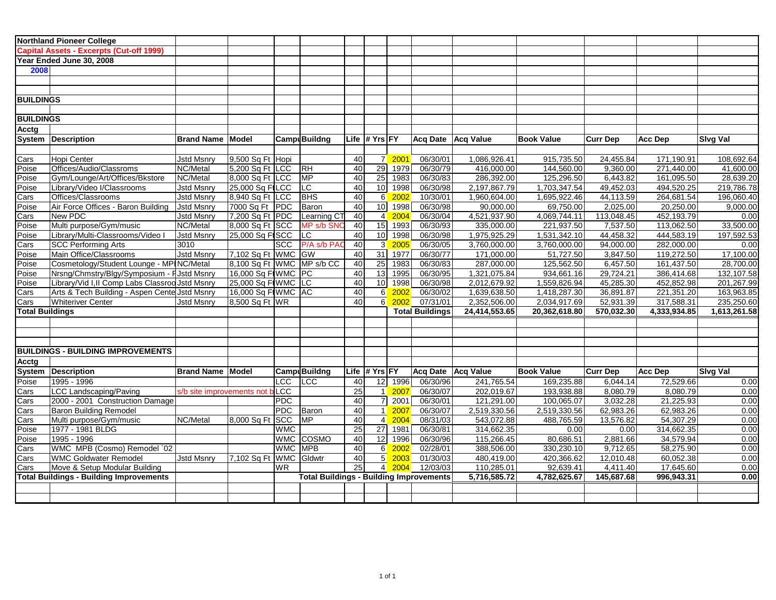|                                | <b>Northland Pioneer College</b>                                 |                                |                                 |            |                                                |                       |                |                             |                        |                               |                               |                        |                          |                          |
|--------------------------------|------------------------------------------------------------------|--------------------------------|---------------------------------|------------|------------------------------------------------|-----------------------|----------------|-----------------------------|------------------------|-------------------------------|-------------------------------|------------------------|--------------------------|--------------------------|
|                                | <b>Capital Assets - Excerpts (Cut-off 1999)</b>                  |                                |                                 |            |                                                |                       |                |                             |                        |                               |                               |                        |                          |                          |
|                                | Year Ended June 30, 2008                                         |                                |                                 |            |                                                |                       |                |                             |                        |                               |                               |                        |                          |                          |
| 2008                           |                                                                  |                                |                                 |            |                                                |                       |                |                             |                        |                               |                               |                        |                          |                          |
|                                |                                                                  |                                |                                 |            |                                                |                       |                |                             |                        |                               |                               |                        |                          |                          |
|                                |                                                                  |                                |                                 |            |                                                |                       |                |                             |                        |                               |                               |                        |                          |                          |
| <b>BUILDINGS</b>               |                                                                  |                                |                                 |            |                                                |                       |                |                             |                        |                               |                               |                        |                          |                          |
|                                |                                                                  |                                |                                 |            |                                                |                       |                |                             |                        |                               |                               |                        |                          |                          |
| <b>BUILDINGS</b>               |                                                                  |                                |                                 |            |                                                |                       |                |                             |                        |                               |                               |                        |                          |                          |
| Acctg                          |                                                                  |                                |                                 |            |                                                |                       |                |                             |                        |                               |                               |                        |                          |                          |
|                                | System   Description                                             | <b>Brand Name Model</b>        |                                 |            | Camp Buildng                                   |                       | Life ∣# Yrs FY |                             |                        | Acq Date Acq Value            | <b>Book Value</b>             | <b>Curr Dep</b>        | <b>Acc Dep</b>           | <b>Sivg Val</b>          |
|                                |                                                                  |                                |                                 |            |                                                |                       |                |                             |                        |                               |                               |                        |                          |                          |
| Cars                           | Hopi Center                                                      | <b>Jstd Msnry</b>              | 9,500 Sq Ft Hopi                |            |                                                | 40                    |                | 7 2001                      | 06/30/01               | 1,086,926.41                  | 915,735.50                    | 24,455.84              | 171,190.91               | 108,692.64               |
| Poise                          | Offices/Audio/Classroms                                          | NC/Metal                       | 5,200 Sq Ft LCC                 |            | RH                                             | 40                    |                | 29 1979                     | 06/30/79               | 416,000.00                    | 144,560.00                    | 9,360.00               | 271,440.00               | 41,600.00                |
| Poise                          | Gym/Lounge/Art/Offices/Bkstore                                   | NC/Metal                       | 8,000 Sq Ft LCC                 |            | MP                                             | 40                    |                | 25 1983                     | 06/30/83               | 286,392.00                    | 125,296.50                    | 6,443.82               | 161,095.50               | 28,639.20                |
| Poise                          | Library/Video I/Classrooms                                       | <b>Jstd Msnry</b>              | 25,000 Sq FILCC                 |            | LC.                                            | 40                    |                | 10 1998                     | 06/30/98               | 2,197,867.79                  | 1,703,347.54                  | 49,452.03              | 494,520.25               | 219,786.78               |
| Cars                           | Offices/Classrooms                                               | <b>Jstd Msnry</b>              | $8,940$ Sq Ft LCC               |            | <b>BHS</b>                                     | 40                    | 6              | 2002                        | 10/30/01               | 1,960,604.00                  | 1,695,922.46                  | 44,113.59              | 264,681.54               | 196,060.40               |
| Poise                          | Air Force Offices - Baron Building                               | <b>Jstd Msnry</b>              | 7000 Sq Ft PDC                  |            | Baron                                          | 40                    |                | 10 1998                     | 06/30/98               | 90,000.00                     | 69,750.00                     | 2,025.00               | 20,250.00                | 9,000.00                 |
| Cars                           | New PDC                                                          | <b>Jstd Msnry</b>              | 7,200 Sq Ft PDC                 |            | Learning CT                                    | 40                    |                | 4 2004                      | 06/30/04               | 4,521,937.90                  | 4,069,744.11                  | 113,048.45             | 452,193.79               | 0.00                     |
| Poise                          | Multi purpose/Gym/music                                          | NC/Metal                       | 8,000 Sq Ft SCC                 |            | MP s/b SNC                                     | $\overline{40}$       |                | $\overline{15}$ 1993        | 06/30/93               | 335,000.00                    | 221,937.50                    | 7,537.50               | 113,062.50               | 33,500.00                |
| Poise                          | Library/Multi-Classrooms/Video I                                 | <b>Jstd Msnry</b>              | 25,000 Sq FISCC                 |            | ILC.                                           | 40                    | 10             | 1998                        | 06/30/98               | 1,975,925.29                  | 1,531,342.10                  | 44,458.32              | 444,583.19               | 197,592.53               |
| Cars                           | <b>SCC Performing Arts</b>                                       | 3010                           |                                 |            | SCC   P/A s/b PAC                              | 40                    |                | $\overline{3}$ 2005         | 06/30/05               | 3,760,000.00                  | 3,760,000.00                  | 94,000.00              | 282,000.00               | 0.00                     |
| Poise                          | Main Office/Classrooms                                           | <b>Jstd Msnry</b>              | $7,102$ Sq Ft WMC GW            |            |                                                | 40                    |                | $31$ 1977                   | 06/30/77               | 171,000.00                    | 51,727.50                     | 3,847.50               | 119,272.50               | 17,100.00                |
| Poise                          | Cosmetology/Student Lounge - MPINC/Metal                         |                                | $ 8,100$ Sq Ft WMC $ MP s/b$ CC |            |                                                | 40                    |                | 25 1983                     | 06/30/83               | 287,000.00                    | 125,562.50                    | 6,457.50               | 161,437.50               | 28,700.00                |
| Poise                          | Nrsng/Chmstry/Blgy/Symposium - FJstd Msnry                       |                                | 16,000 Sq FIWMC PC              |            |                                                | 40                    |                | 13 1995                     | 06/30/95               | 1,321,075.84                  | 934,661.16                    | 29,724.21              | 386,414.68               | 132,107.58               |
| Poise                          | Library/Vid I, II Comp Labs Classrod Jstd Msnry                  |                                | 25,000 Sq F(WMC LC              |            |                                                | 40<br>40              | 10             | 1998                        | 06/30/98               | 2,012,679.92                  | 1,559,826.94                  | 45,285.30              | 452,852.98               | 201,267.99               |
| Cars                           | Arts & Tech Building - Aspen Cente Jstd Msnry                    |                                | 16,000 Sq FIWMC AC              |            |                                                | 40                    | 6<br>6         | 2002<br>2002                | 06/30/02<br>07/31/01   | 1,639,638.50                  | 1,418,287.30                  | 36,891.87<br>52,931.39 | 221,351.20<br>317,588.31 | 163,963.85<br>235,250.60 |
| Cars<br><b>Total Buildings</b> | <b>Whiteriver Center</b>                                         | <b>Jstd Msnry</b>              | 8,500 Sq Ft WR                  |            |                                                |                       |                |                             | <b>Total Buildings</b> | 2,352,506.00<br>24,414,553.65 | 2,034,917.69<br>20,362,618.80 | 570,032.30             | 4,333,934.85             | 1,613,261.58             |
|                                |                                                                  |                                |                                 |            |                                                |                       |                |                             |                        |                               |                               |                        |                          |                          |
|                                |                                                                  |                                |                                 |            |                                                |                       |                |                             |                        |                               |                               |                        |                          |                          |
|                                |                                                                  |                                |                                 |            |                                                |                       |                |                             |                        |                               |                               |                        |                          |                          |
|                                | <b>BUILDINGS - BUILDING IMPROVEMENTS</b>                         |                                |                                 |            |                                                |                       |                |                             |                        |                               |                               |                        |                          |                          |
|                                |                                                                  |                                |                                 |            |                                                |                       |                |                             |                        |                               |                               |                        |                          |                          |
| Acctg                          |                                                                  | <b>Brand Name Model</b>        |                                 |            |                                                |                       | Life # Yrs FY  |                             |                        |                               | <b>Book Value</b>             |                        |                          |                          |
|                                | System Description                                               |                                |                                 |            | <b>Camp</b> Buildng                            |                       |                |                             |                        | Acq Date Acq Value            |                               | <b>Curr Dep</b>        | <b>Acc Dep</b>           | <b>Sivg Val</b>          |
| Poise                          | 1995 - 1996                                                      |                                |                                 | <b>LCC</b> | LCC                                            | 40                    |                | 12 1996                     | 06/30/96               | 241,765.54                    | 169,235.88                    | 6,044.14               | 72,529.66                | 0.00                     |
| Cars                           | <b>LCC Landscaping/Paving</b><br>2000 - 2001 Construction Damage | s/b site improvements not bLCC |                                 | <b>PDC</b> |                                                | $\overline{25}$<br>40 | 7              | $\overline{1}$ 2007<br>2001 | 06/30/07<br>06/30/01   | 202,019.67<br>121,291.00      | 193,938.88<br>100,065.07      | 8,080.79<br>3,032.28   | 8,080.79<br>21,225.93    | 0.00<br>0.00             |
| Cars                           | <b>Baron Building Remodel</b>                                    |                                |                                 | <b>PDC</b> | Baron                                          | 40                    | 1              | 2007                        | 06/30/07               | 2,519,330.56                  | 2,519,330.56                  | 62,983.26              | 62,983.26                | 0.00                     |
| Cars                           | Multi purpose/Gym/music                                          | NC/Metal                       | 8,000 Sq Ft SCC                 |            | MP                                             | 40                    |                | $4$ 2004                    | 08/31/03               | 543,072.88                    | 488,765.59                    | 13,576.82              | 54,307.29                | 0.00                     |
| Cars<br>Poise                  | 1977 - 1981 BLDG                                                 |                                |                                 | <b>WMC</b> |                                                | $\overline{25}$       |                | 27 1981                     | 06/30/81               | 314,662.35                    | 0.00                          | 0.00                   | 314,662.35               | 0.00                     |
| Poise                          | 1995 - 1996                                                      |                                |                                 |            | WMC COSMO                                      | 40                    |                | 12 1996                     | 06/30/96               | 115,266.45                    | 80,686.51                     | 2,881.66               | 34,579.94                | 0.00                     |
| Cars                           | WMC MPB (Cosmo) Remodel `02                                      |                                |                                 | WMC MPB    |                                                | 40                    | $6 \mid$       | 2002                        | 02/28/01               | 388,506.00                    | 330,230.10                    | 9,712.65               | 58,275.90                | 0.00                     |
| Cars                           | <b>WMC Goldwater Remodel</b>                                     | <b>Jstd Msnry</b>              | 7,102 Sq Ft WMC Gldwtr          |            |                                                | 40                    | 5 <sup>1</sup> | 2003                        | 01/30/03               | 480,419.00                    | 420,366.62                    | 12,010.48              | 60,052.38                | 0.00                     |
| Cars                           | Move & Setup Modular Building                                    |                                |                                 | <b>WR</b>  |                                                | 25                    |                | $4 \overline{2004}$         | 12/03/03               | 110,285.01                    | 92,639.41                     | 4,411.40               | 17,645.60                | 0.00                     |
|                                | <b>Total Buildings - Building Improvements</b>                   |                                |                                 |            | <b>Total Buildings - Building Improvements</b> |                       |                |                             |                        | 5,716,585.72                  | 4,782,625.67                  | 145,687.68             | 996,943.31               | 0.00                     |
|                                |                                                                  |                                |                                 |            |                                                |                       |                |                             |                        |                               |                               |                        |                          |                          |
|                                |                                                                  |                                |                                 |            |                                                |                       |                |                             |                        |                               |                               |                        |                          |                          |
|                                |                                                                  |                                |                                 |            |                                                |                       |                |                             |                        |                               |                               |                        |                          |                          |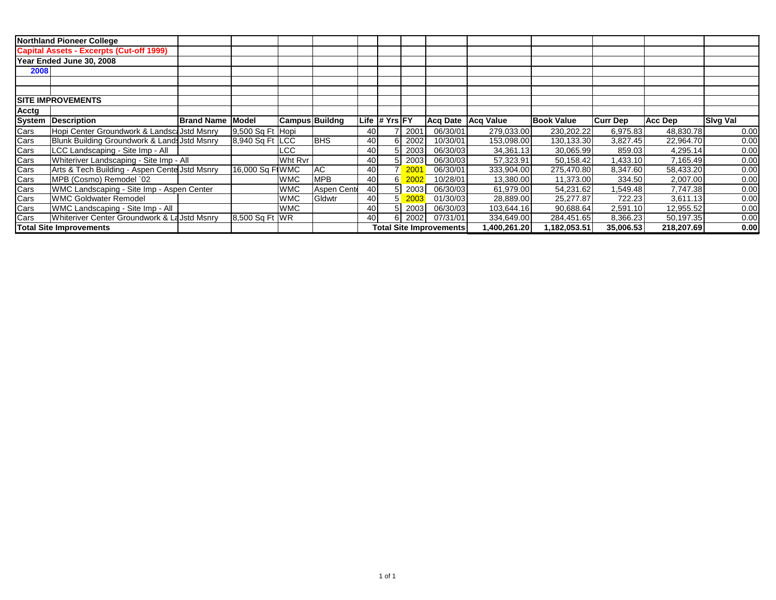|                           | <b>Northland Pioneer College</b>                |                   |                  |                       |             |    |                 |                  |                                |                      |                   |                 |            |                 |
|---------------------------|-------------------------------------------------|-------------------|------------------|-----------------------|-------------|----|-----------------|------------------|--------------------------------|----------------------|-------------------|-----------------|------------|-----------------|
|                           | <b>Capital Assets - Excerpts (Cut-off 1999)</b> |                   |                  |                       |             |    |                 |                  |                                |                      |                   |                 |            |                 |
|                           | Year Ended June 30, 2008                        |                   |                  |                       |             |    |                 |                  |                                |                      |                   |                 |            |                 |
| 2008                      |                                                 |                   |                  |                       |             |    |                 |                  |                                |                      |                   |                 |            |                 |
|                           |                                                 |                   |                  |                       |             |    |                 |                  |                                |                      |                   |                 |            |                 |
|                           |                                                 |                   |                  |                       |             |    |                 |                  |                                |                      |                   |                 |            |                 |
| <b>ISITE IMPROVEMENTS</b> |                                                 |                   |                  |                       |             |    |                 |                  |                                |                      |                   |                 |            |                 |
| Acctg                     |                                                 |                   |                  |                       |             |    |                 |                  |                                |                      |                   |                 |            |                 |
| System                    | Description                                     | <b>Brand Name</b> | Model            | <b>Campus Buildng</b> |             |    | Life # $Yrs$ FY |                  |                                | Acq Date   Acq Value | <b>Book Value</b> | <b>Curr Dep</b> | Acc Dep    | <b>Sivg Val</b> |
| Cars                      | Hopi Center Groundwork & Landsca Jstd Msnry     |                   | 9,500 Sq Ft Hopi |                       |             | 40 |                 | 200 <sup>4</sup> | 06/30/01                       | 279,033.00           | 230,202.22        | 6,975.83        | 48,830.78  | 0.00            |
| Cars                      | Blunk Building Groundwork & Lands Jstd Msnry    |                   | 8,940 Sq Ft LCC  |                       | <b>BHS</b>  | 40 |                 | 2002             | 10/30/01                       | 153,098.00           | 130,133.30        | 3,827.45        | 22,964.70  | 0.00            |
| Cars                      | LCC Landscaping - Site Imp - All                |                   |                  | LCC.                  |             | 40 |                 | 2003             | 06/30/03                       | 34,361.13            | 30,065.99         | 859.03          | 4,295.14   | 0.00            |
| Cars                      | Whiteriver Landscaping - Site Imp - All         |                   |                  | Wht Rvr               |             | 40 |                 | 2003             | 06/30/03                       | 57,323.91            | 50,158.42         | 1,433.10        | 7,165.49   | 0.00            |
| Cars<br>Cars              | Arts & Tech Building - Aspen Cente Jstd Msnry   |                   | 16,000 Sq FIWMC  |                       | AC.         | 40 |                 | 200 <sup>7</sup> | 06/30/01                       | 333,904.00           | 275,470.80        | 8,347.60        | 58,433.20  | 0.00            |
|                           | MPB (Cosmo) Remodel `02                         |                   |                  | <b>WMC</b>            | <b>MPB</b>  | 40 | 6 <sup>1</sup>  | 2002             | 10/28/01                       | 13,380.00            | 11,373.00         | 334.50          | 2,007.00   | 0.00            |
| Cars                      | WMC Landscaping - Site Imp - Aspen Center       |                   |                  | <b>WMC</b>            | Aspen Cente | 40 |                 | 2003             | 06/30/03                       | 61,979.00            | 54,231.62         | .549.48         | 7,747.38   | 0.00            |
| Cars                      | <b>WMC Goldwater Remodel</b>                    |                   |                  | <b>WMC</b>            | Gldwtr      | 40 |                 | 2003             | 01/30/03                       | 28,889.00            | 25,277.87         | 722.23          | 3,611.13   | 0.00            |
| Cars                      | WMC Landscaping - Site Imp - All                |                   |                  | <b>WMC</b>            |             | 40 |                 | 2003             | 06/30/03                       | 103,644.16           | 90,688.64         | 2,591.10        | 12,955.52  | 0.00            |
| Cars                      | Whiteriver Center Groundwork & La Jstd Msnry    |                   | 8,500 Sq Ft WR   |                       |             | 40 |                 | 2002             | 07/31/01                       | 334,649.00           | 284,451.65        | 8,366.23        | 50,197.35  | 0.00            |
|                           | <b>Total Site Improvements</b>                  |                   |                  |                       |             |    |                 |                  | <b>Total Site Improvements</b> | 1,400,261.20         | 1,182,053.51      | 35,006.53       | 218,207.69 | 0.00            |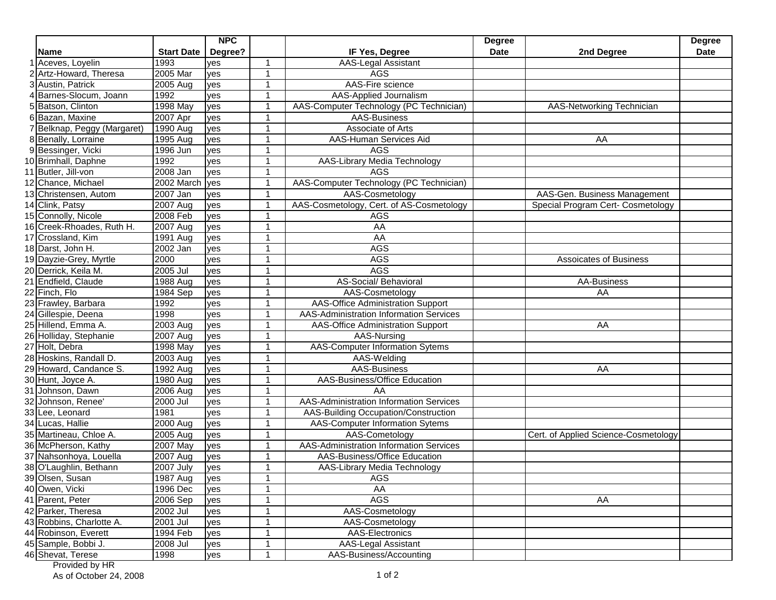|   |                           |                   | <b>NPC</b> |                |                                                | <b>Degree</b> |                                      | <b>Degree</b> |
|---|---------------------------|-------------------|------------|----------------|------------------------------------------------|---------------|--------------------------------------|---------------|
|   | Name                      | <b>Start Date</b> | Degree?    |                | IF Yes, Degree                                 | <b>Date</b>   | 2nd Degree                           | <b>Date</b>   |
|   | 1 Aceves, Loyelin         | 1993              | yes        | -1             | <b>AAS-Legal Assistant</b>                     |               |                                      |               |
|   | 2 Artz-Howard, Theresa    | 2005 Mar          | yes        | $\overline{1}$ | <b>AGS</b>                                     |               |                                      |               |
|   | 3 Austin, Patrick         | 2005 Aug          | yes        | 1              | AAS-Fire science                               |               |                                      |               |
|   | Barnes-Slocum, Joann      | 1992              | yes        | -1             | AAS-Applied Journalism                         |               |                                      |               |
| 5 | Batson, Clinton           | 1998 May          | yes        | -1             | AAS-Computer Technology (PC Technician)        |               | AAS-Networking Technician            |               |
|   | 6 Bazan, Maxine           | $2007$ Apr        | yes        | -1             | AAS-Business                                   |               |                                      |               |
|   | Belknap, Peggy (Margaret) | 1990 Aug          | ves        | -1             | Associate of Arts                              |               |                                      |               |
|   | 8 Benally, Lorraine       | 1995 Aug          | yes        | 1              | AAS-Human Services Aid                         |               | AA                                   |               |
|   | 9 Bessinger, Vicki        | 1996 Jun          | yes        | -1             | <b>AGS</b>                                     |               |                                      |               |
|   | 10 Brimhall, Daphne       | 1992              | yes        | -1             | <b>AAS-Library Media Technology</b>            |               |                                      |               |
|   | 11 Butler, Jill-von       | 2008 Jan          | ves        | -1             | <b>AGS</b>                                     |               |                                      |               |
|   | 12 Chance, Michael        | 2002 March        | yes        | -1             | AAS-Computer Technology (PC Technician)        |               |                                      |               |
|   | 13 Christensen, Autom     | 2007 Jan          | yes        | -1             | AAS-Cosmetology                                |               | AAS-Gen. Business Management         |               |
|   | 14 Clink, Patsy           | 2007 Aug          | yes        | -1             | AAS-Cosmetology, Cert. of AS-Cosmetology       |               | Special Program Cert- Cosmetology    |               |
|   | 15 Connolly, Nicole       | 2008 Feb          | yes        | 1              | <b>AGS</b>                                     |               |                                      |               |
|   | 16 Creek-Rhoades, Ruth H. | 2007 Aug          | yes        | 1              | AA                                             |               |                                      |               |
|   | 17 Crossland, Kim         | 1991 Aug          | yes        | -1             | AA                                             |               |                                      |               |
|   | 18 Darst, John H.         | 2002 Jan          | yes        | -1             | <b>AGS</b>                                     |               |                                      |               |
|   | 19 Dayzie-Grey, Myrtle    | 2000              | yes        | -1             | <b>AGS</b>                                     |               | Assoicates of Business               |               |
|   | 20 Derrick, Keila M.      | 2005 Jul          | yes        | -1             | <b>AGS</b>                                     |               |                                      |               |
|   | 21 Endfield, Claude       | 1988 Aug          | yes        | 1              | AS-Social/ Behavioral                          |               | AA-Business                          |               |
|   | 22 Finch, Flo             | 1984 Sep          | yes        | -1             | AAS-Cosmetology                                |               | AA                                   |               |
|   | 23 Frawley, Barbara       | 1992              | ves        | 1              | <b>AAS-Office Administration Support</b>       |               |                                      |               |
|   | 24 Gillespie, Deena       | 1998              | yes        | -1             | AAS-Administration Information Services        |               |                                      |               |
|   | 25 Hillend, Emma A.       | 2003 Aug          | yes        | 1              | AAS-Office Administration Support              |               | AA                                   |               |
|   | 26 Holliday, Stephanie    | 2007 Aug          | yes        |                | AAS-Nursing                                    |               |                                      |               |
|   | 27 Holt, Debra            | 1998 May          | yes        |                | <b>AAS-Computer Information Sytems</b>         |               |                                      |               |
|   | 28 Hoskins, Randall D.    | 2003 Aug          | yes        | 1              | AAS-Welding                                    |               |                                      |               |
|   | 29 Howard, Candance S.    | 1992 Aug          | yes        | 1              | AAS-Business                                   |               | AA                                   |               |
|   | 30 Hunt, Joyce A.         | 1980 Aug          | yes        | $\overline{1}$ | AAS-Business/Office Education                  |               |                                      |               |
|   | 31 Johnson, Dawn          | 2006 Aug          | yes        | -1             | AA                                             |               |                                      |               |
|   | 32 Johnson, Renee'        | 2000 Jul          | yes        | -1             | AAS-Administration Information Services        |               |                                      |               |
|   | 33 Lee, Leonard           | 1981              | yes        |                | AAS-Building Occupation/Construction           |               |                                      |               |
|   | 34 Lucas, Hallie          | 2000 Aug          | yes        |                | <b>AAS-Computer Information Sytems</b>         |               |                                      |               |
|   | 35 Martineau, Chloe A.    | $2005$ Aug        | yes        | -1             | AAS-Cometology                                 |               | Cert. of Applied Science-Cosmetology |               |
|   | 36 McPherson, Kathy       | <b>2007 May</b>   | yes        | 1              | <b>AAS-Administration Information Services</b> |               |                                      |               |
|   | 37 Nahsonhoya, Louella    | 2007 Aug          | yes        | -1             | AAS-Business/Office Education                  |               |                                      |               |
|   | 38 O'Laughlin, Bethann    | $2007$ July       | yes        | -1             | AAS-Library Media Technology                   |               |                                      |               |
|   | 39 Olsen, Susan           | 1987 Aug          | yes        |                | AGS                                            |               |                                      |               |
|   | 40 Owen, Vicki            | 1996 Dec          | yes        |                | AA                                             |               |                                      |               |
|   | 41 Parent, Peter          | 2006 Sep          | yes        |                | <b>AGS</b>                                     |               | AA                                   |               |
|   | 42 Parker, Theresa        | $2002$ Jul        | yes        |                | AAS-Cosmetology                                |               |                                      |               |
|   | 43 Robbins, Charlotte A.  | 2001 Jul          | yes        | 1              | AAS-Cosmetology                                |               |                                      |               |
|   | 44 Robinson, Everett      | 1994 Feb          | yes        | 1              | AAS-Electronics                                |               |                                      |               |
|   | 45 Sample, Bobbi J.       | 2008 Jul          | yes        | -1             | <b>AAS-Legal Assistant</b>                     |               |                                      |               |
|   | 46 Shevat, Terese         | 1998              | yes        | -1             | AAS-Business/Accounting                        |               |                                      |               |

**Provided by HR** As of October 24, 2008  $\overline{1}$  of 2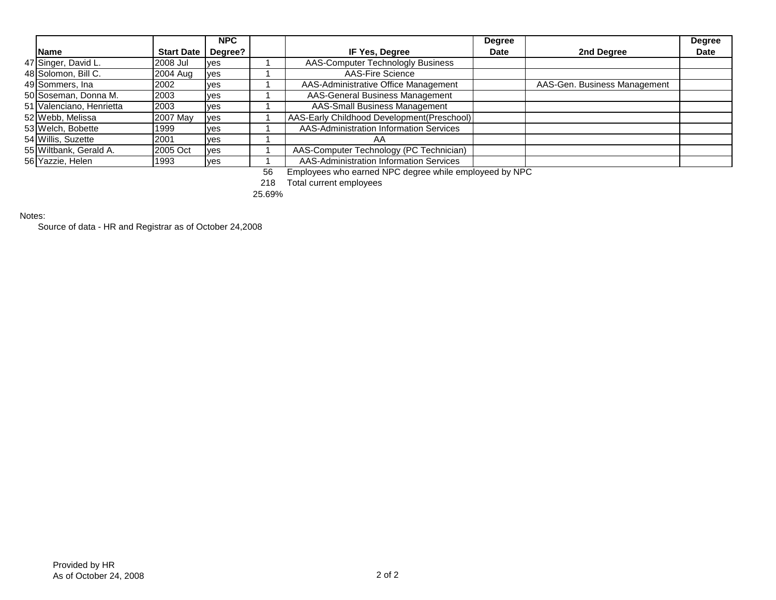|                          |                   | <b>NPC</b> |                                            | <b>Degree</b> |                              | <b>Degree</b> |
|--------------------------|-------------------|------------|--------------------------------------------|---------------|------------------------------|---------------|
| <b>Name</b>              | <b>Start Date</b> | Degree?    | IF Yes, Degree                             | <b>Date</b>   | 2nd Degree                   | <b>Date</b>   |
| 47 Singer, David L.      | 2008 Jul          | <b>ves</b> | AAS-Computer Technologly Business          |               |                              |               |
| 48 Solomon, Bill C.      | 2004 Aug          | yes        | <b>AAS-Fire Science</b>                    |               |                              |               |
| 49 Sommers, Ina          | 2002              | ves        | AAS-Administrative Office Management       |               | AAS-Gen. Business Management |               |
| 50 Soseman, Donna M.     | 2003              | ves        | AAS-General Business Management            |               |                              |               |
| 51 Valenciano, Henrietta | 2003              | ves        | <b>AAS-Small Business Management</b>       |               |                              |               |
| 52 Webb, Melissa         | 2007 May          | yes        | AAS-Early Childhood Development(Preschool) |               |                              |               |
| 53 Welch, Bobette        | 1999              | ves        | AAS-Administration Information Services    |               |                              |               |
| 54 Willis, Suzette       | 2001              | ves        | AA                                         |               |                              |               |
| 55 Wiltbank, Gerald A.   | 2005 Oct          | <b>ves</b> | AAS-Computer Technology (PC Technician)    |               |                              |               |
| 56 Yazzie, Helen         | 1993              | ves        | AAS-Administration Information Services    |               |                              |               |

56 Employees who earned NPC degree while employeed by NPC

218 Total current employees

25.69%

Notes:

Source of data - HR and Registrar as of October 24,2008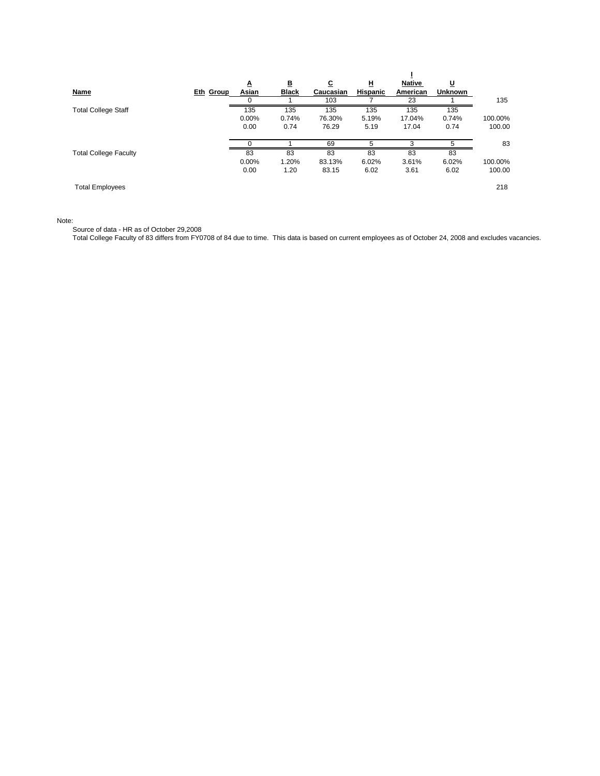|                              |           | Δ            | B            | <u>c</u>  | ш        | <b>Native</b> | <u>u</u>       |         |
|------------------------------|-----------|--------------|--------------|-----------|----------|---------------|----------------|---------|
| <b>Name</b>                  | Eth Group | <u>Asian</u> | <b>Black</b> | Caucasian | Hispanic | American      | <b>Unknown</b> |         |
|                              |           | 0            |              | 103       |          | 23            |                | 135     |
| <b>Total College Staff</b>   |           | 135          | 135          | 135       | 135      | 135           | 135            |         |
|                              |           | 0.00%        | 0.74%        | 76.30%    | 5.19%    | 17.04%        | 0.74%          | 100.00% |
|                              |           | 0.00         | 0.74         | 76.29     | 5.19     | 17.04         | 0.74           | 100.00  |
|                              |           |              |              | 69        | 5        | 3             |                | 83      |
| <b>Total College Faculty</b> |           | 83           | 83           | 83        | 83       | 83            | 83             |         |
|                              |           | $0.00\%$     | 1.20%        | 83.13%    | 6.02%    | 3.61%         | 6.02%          | 100.00% |
|                              |           | 0.00         | 1.20         | 83.15     | 6.02     | 3.61          | 6.02           | 100.00  |
| <b>Total Employees</b>       |           |              |              |           |          |               |                | 218     |

Note:

Source of data - HR as of October 29,2008

Total College Faculty of 83 differs from FY0708 of 84 due to time. This data is based on current employees as of October 24, 2008 and excludes vacancies.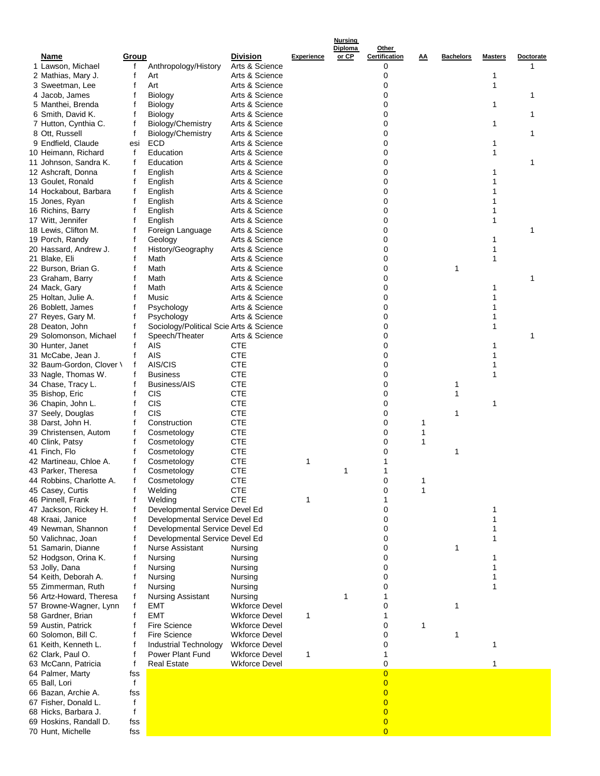|                          |              |                                         |                      |                   | Diploma | Other          |           |              |                |           |
|--------------------------|--------------|-----------------------------------------|----------------------|-------------------|---------|----------------|-----------|--------------|----------------|-----------|
| Name                     | <u>Group</u> |                                         | <b>Division</b>      | <b>Experience</b> | or CP   | Certification  | <u>AA</u> | Bachelors    | <b>Masters</b> | Doctorate |
| 1 Lawson, Michael        | f            | Anthropology/History                    | Arts & Science       |                   |         | 0              |           |              |                |           |
| 2 Mathias, Mary J.       | f            | Art                                     | Arts & Science       |                   |         | 0              |           |              |                |           |
| 3 Sweetman, Lee          | f            | Art                                     | Arts & Science       |                   |         | 0              |           |              | 1              |           |
| 4 Jacob, James           |              | <b>Biology</b>                          | Arts & Science       |                   |         | 0              |           |              |                | 1         |
| 5 Manthei, Brenda        |              | Biology                                 | Arts & Science       |                   |         | 0              |           |              | 1              |           |
| 6 Smith, David K.        |              | Biology                                 | Arts & Science       |                   |         | 0              |           |              |                | 1         |
| 7 Hutton, Cynthia C.     |              | Biology/Chemistry                       | Arts & Science       |                   |         | 0              |           |              | 1              |           |
| 8 Ott, Russell           | f            | Biology/Chemistry                       | Arts & Science       |                   |         | 0              |           |              |                | 1         |
| 9 Endfield, Claude       | esi          | ECD                                     | Arts & Science       |                   |         | 0              |           |              | 1              |           |
|                          |              |                                         |                      |                   |         |                |           |              |                |           |
| 10 Heimann, Richard      | f            | Education                               | Arts & Science       |                   |         | 0              |           |              | 1              |           |
| 11 Johnson, Sandra K.    | f            | Education                               | Arts & Science       |                   |         | 0              |           |              |                | 1         |
| 12 Ashcraft, Donna       | f            | English                                 | Arts & Science       |                   |         | 0              |           |              | 1              |           |
| 13 Goulet, Ronald        |              | English                                 | Arts & Science       |                   |         | 0              |           |              | 1              |           |
| 14 Hockabout, Barbara    | f            | English                                 | Arts & Science       |                   |         | 0              |           |              | 1              |           |
| 15 Jones, Ryan           |              | English                                 | Arts & Science       |                   |         | 0              |           |              | 1              |           |
| 16 Richins, Barry        |              | English                                 | Arts & Science       |                   |         | 0              |           |              | 1              |           |
| 17 Witt, Jennifer        |              | English                                 | Arts & Science       |                   |         | 0              |           |              | 1              |           |
|                          |              |                                         |                      |                   |         |                |           |              |                |           |
| 18 Lewis, Clifton M.     |              | Foreign Language                        | Arts & Science       |                   |         | 0              |           |              |                | 1         |
| 19 Porch, Randy          | f            | Geology                                 | Arts & Science       |                   |         | 0              |           |              | 1              |           |
| 20 Hassard, Andrew J.    | f            | History/Geography                       | Arts & Science       |                   |         | 0              |           |              | 1              |           |
| 21 Blake, Eli            |              | Math                                    | Arts & Science       |                   |         | 0              |           |              | 1              |           |
| 22 Burson, Brian G.      |              | Math                                    | Arts & Science       |                   |         | 0              |           | 1            |                |           |
| 23 Graham, Barry         | f            | Math                                    | Arts & Science       |                   |         | 0              |           |              |                | 1         |
| 24 Mack, Gary            |              | Math                                    | Arts & Science       |                   |         | 0              |           |              | 1              |           |
|                          |              |                                         |                      |                   |         |                |           |              |                |           |
| 25 Holtan, Julie A.      | f            | Music                                   | Arts & Science       |                   |         | 0              |           |              | 1              |           |
| 26 Boblett, James        |              | Psychology                              | Arts & Science       |                   |         | 0              |           |              | 1              |           |
| 27 Reyes, Gary M.        | f            | Psychology                              | Arts & Science       |                   |         | 0              |           |              |                |           |
| 28 Deaton, John          | f            | Sociology/Political Scie Arts & Science |                      |                   |         | 0              |           |              | 1              |           |
| 29 Solomonson, Michael   |              | Speech/Theater                          | Arts & Science       |                   |         | 0              |           |              |                | 1         |
| 30 Hunter, Janet         |              | <b>AIS</b>                              | CTE                  |                   |         | 0              |           |              | 1              |           |
| 31 McCabe, Jean J.       | f            | AIS                                     | <b>CTE</b>           |                   |         | 0              |           |              | 1              |           |
| 32 Baum-Gordon, Clover \ | f            | AIS/CIS                                 | <b>CTE</b>           |                   |         | 0              |           |              | 1              |           |
|                          |              |                                         |                      |                   |         |                |           |              |                |           |
| 33 Nagle, Thomas W.      |              | <b>Business</b>                         | <b>CTE</b>           |                   |         | 0              |           |              | 1              |           |
| 34 Chase, Tracy L.       | f            | Business/AIS                            | <b>CTE</b>           |                   |         | 0              |           | 1            |                |           |
| 35 Bishop, Eric          | f            | CIS                                     | <b>CTE</b>           |                   |         | 0              |           | 1            |                |           |
| 36 Chapin, John L.       | f            | CIS                                     | <b>CTE</b>           |                   |         | 0              |           |              | 1              |           |
| 37 Seely, Douglas        |              | CIS                                     | <b>CTE</b>           |                   |         | 0              |           | 1            |                |           |
| 38 Darst, John H.        |              | Construction                            | <b>CTE</b>           |                   |         | 0              | 1         |              |                |           |
| 39 Christensen, Autom    | f            | Cosmetology                             | <b>CTE</b>           |                   |         | 0              | 1         |              |                |           |
| 40 Clink, Patsy          |              | Cosmetology                             | <b>CTE</b>           |                   |         | 0              | 1         |              |                |           |
|                          |              |                                         |                      |                   |         |                |           |              |                |           |
| 41 Finch, Flo            | f            | Cosmetology                             | <b>CTE</b>           |                   |         | 0              |           | 1            |                |           |
| 42 Martineau, Chloe A.   | f            | Cosmetology                             | <b>CTE</b>           | 1                 |         |                |           |              |                |           |
| 43 Parker, Theresa       |              | Cosmetology                             | <b>CTE</b>           |                   | 1       |                |           |              |                |           |
| 44 Robbins, Charlotte A. | f            | Cosmetology                             | <b>CTE</b>           |                   |         | 0              | 1         |              |                |           |
| 45 Casey, Curtis         | f            | Welding                                 | <b>CTE</b>           |                   |         | 0              | 1         |              |                |           |
| 46 Pinnell, Frank        |              | Welding                                 | <b>CTE</b>           | 1                 |         | 1              |           |              |                |           |
| 47 Jackson, Rickey H.    |              | Developmental Service Devel Ed          |                      |                   |         | 0              |           |              | 1              |           |
|                          |              | Developmental Service Devel Ed          |                      |                   |         | 0              |           |              | 1              |           |
| 48 Kraai, Janice         |              |                                         |                      |                   |         |                |           |              |                |           |
| 49 Newman, Shannon       | f            | Developmental Service Devel Ed          |                      |                   |         | 0              |           |              | 1              |           |
| 50 Valichnac, Joan       | f            | Developmental Service Devel Ed          |                      |                   |         | 0              |           |              | 1              |           |
| 51 Samarin, Dianne       |              | Nurse Assistant                         | Nursing              |                   |         | 0              |           | 1            |                |           |
| 52 Hodgson, Orina K.     | f            | Nursing                                 | Nursing              |                   |         | 0              |           |              | 1              |           |
| 53 Jolly, Dana           | f            | Nursing                                 | Nursing              |                   |         | 0              |           |              | 1              |           |
| 54 Keith, Deborah A.     |              | Nursing                                 | Nursing              |                   |         | 0              |           |              | 1              |           |
| 55 Zimmerman, Ruth       | f            | Nursing                                 | Nursing              |                   |         | 0              |           |              | 1              |           |
| 56 Artz-Howard, Theresa  |              | <b>Nursing Assistant</b>                | Nursing              |                   | 1       | 1              |           |              |                |           |
|                          |              |                                         |                      |                   |         |                |           |              |                |           |
| 57 Browne-Wagner, Lynn   |              | EMT                                     | <b>Wkforce Devel</b> |                   |         | 0              |           | $\mathbf{1}$ |                |           |
| 58 Gardner, Brian        |              | <b>EMT</b>                              | <b>Wkforce Devel</b> | 1                 |         | 1              |           |              |                |           |
| 59 Austin, Patrick       | f            | Fire Science                            | <b>Wkforce Devel</b> |                   |         | 0              | 1         |              |                |           |
| 60 Solomon, Bill C.      |              | Fire Science                            | <b>Wkforce Devel</b> |                   |         | 0              |           | 1            |                |           |
| 61 Keith, Kenneth L.     |              | Industrial Technology                   | <b>Wkforce Devel</b> |                   |         | 0              |           |              | 1              |           |
| 62 Clark, Paul O.        |              | Power Plant Fund                        | <b>Wkforce Devel</b> | 1                 |         | 1              |           |              |                |           |
| 63 McCann, Patricia      | f            | Real Estate                             | <b>Wkforce Devel</b> |                   |         | 0              |           |              | 1              |           |
|                          |              |                                         |                      |                   |         |                |           |              |                |           |
| 64 Palmer, Marty         | fss          |                                         |                      |                   |         | $\overline{0}$ |           |              |                |           |
| 65 Ball, Lori            | $\mathbf f$  |                                         |                      |                   |         | $\overline{0}$ |           |              |                |           |
| 66 Bazan, Archie A.      | fss          |                                         |                      |                   |         | $\overline{0}$ |           |              |                |           |
| 67 Fisher, Donald L.     | f            |                                         |                      |                   |         | $\overline{0}$ |           |              |                |           |
| 68 Hicks, Barbara J.     | f            |                                         |                      |                   |         | $\overline{0}$ |           |              |                |           |
| 69 Hoskins, Randall D.   | fss          |                                         |                      |                   |         | $\overline{0}$ |           |              |                |           |
| 70 Hunt, Michelle        | fss          |                                         |                      |                   |         | $\overline{0}$ |           |              |                |           |
|                          |              |                                         |                      |                   |         |                |           |              |                |           |

**Nursing**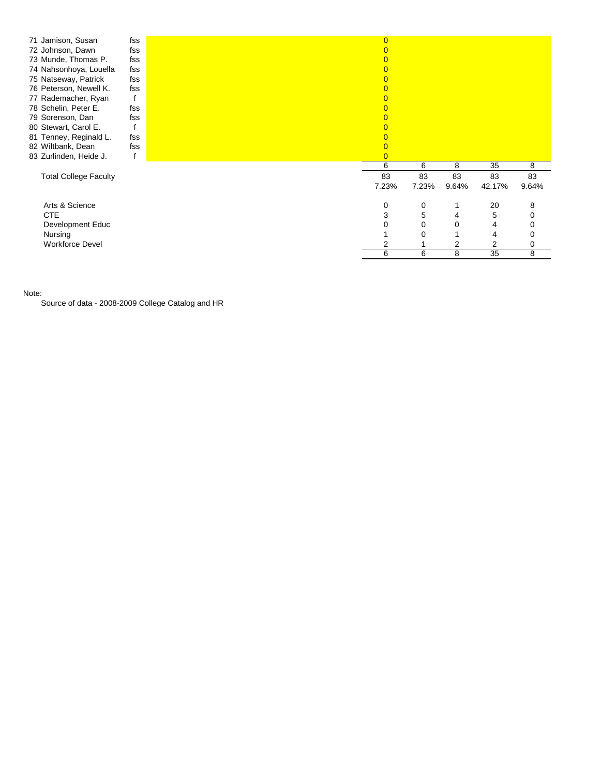| 71 Jamison, Susan<br>72 Johnson, Dawn<br>73 Munde, Thomas P.<br>74 Nahsonhoya, Louella<br>75 Natseway, Patrick<br>76 Peterson, Newell K.<br>77 Rademacher, Ryan<br>78 Schelin, Peter E.<br>79 Sorenson, Dan<br>80 Stewart, Carol E.<br>81 Tenney, Reginald L.<br>82 Wiltbank, Dean<br>83 Zurlinden, Heide J. | fss<br>fss<br>fss<br>fss<br>fss<br>fss<br>fss<br>fss<br>fss<br>fss | $\overline{0}$<br>0<br>0<br>0<br>0<br>0<br>0<br>0<br>0 |             |             |              |             |
|--------------------------------------------------------------------------------------------------------------------------------------------------------------------------------------------------------------------------------------------------------------------------------------------------------------|--------------------------------------------------------------------|--------------------------------------------------------|-------------|-------------|--------------|-------------|
|                                                                                                                                                                                                                                                                                                              |                                                                    | 6                                                      | 6           | 8           | 35           | 8           |
| <b>Total College Faculty</b>                                                                                                                                                                                                                                                                                 |                                                                    | 83<br>7.23%                                            | 83<br>7.23% | 83<br>9.64% | 83<br>42.17% | 83<br>9.64% |
|                                                                                                                                                                                                                                                                                                              |                                                                    |                                                        |             |             |              |             |
| Arts & Science                                                                                                                                                                                                                                                                                               |                                                                    | 0                                                      | 0           |             | 20           | 8           |
| <b>CTE</b>                                                                                                                                                                                                                                                                                                   |                                                                    | 3                                                      | 5           | 4           | 5            | 0           |
| Development Educ                                                                                                                                                                                                                                                                                             |                                                                    | 0                                                      | 0           | 0           | 4            | 0           |
| Nursing                                                                                                                                                                                                                                                                                                      |                                                                    |                                                        | 0           |             | 4            | 0           |
| <b>Workforce Devel</b>                                                                                                                                                                                                                                                                                       |                                                                    |                                                        |             | 2           | 2            | 0           |
|                                                                                                                                                                                                                                                                                                              |                                                                    | 6                                                      | 6           | 8           | 35           | 8           |

Note:

Source of data - 2008-2009 College Catalog and HR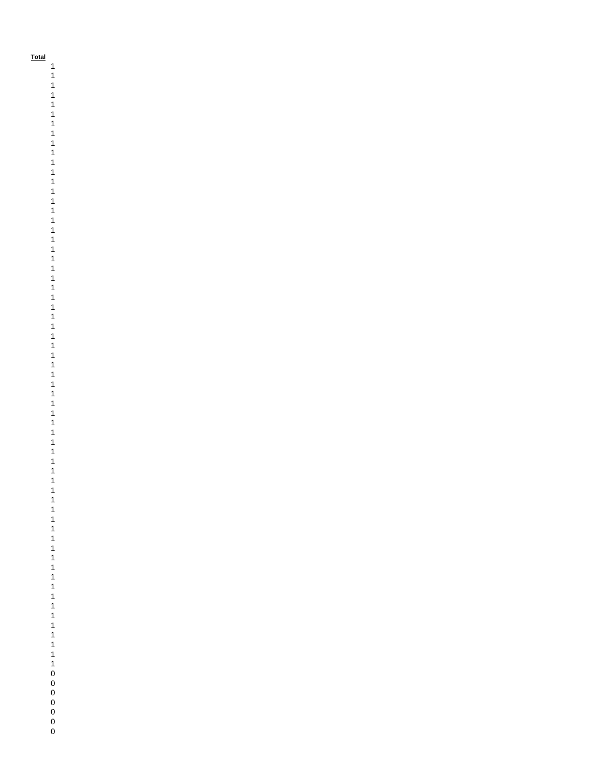**Total**